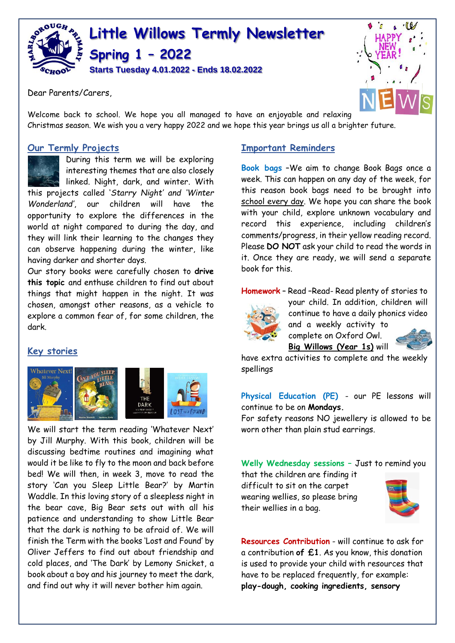

Dear Parents/Carers,



Welcome back to school. We hope you all managed to have an enjoyable and relaxing Christmas season. We wish you a very happy 2022 and we hope this year brings us all a brighter future.

## **Our Termly Projects**

During this term we will be exploring interesting themes that are also closely linked. Night, dark, and winter. With

this projects called '*Starry Night' and 'Winter Wonderland'*, our children will have the opportunity to explore the differences in the world at night compared to during the day, and they will link their learning to the changes they can observe happening during the winter, like having darker and shorter days.

Our story books were carefully chosen to **drive this topic** and enthuse children to find out about things that might happen in the night. It was chosen, amongst other reasons, as a vehicle to explore a common fear of, for some children, the dark.

## **Key stories**



We will start the term reading 'Whatever Next' by Jill Murphy. With this book, children will be discussing bedtime routines and imagining what would it be like to fly to the moon and back before bed! We will then, in week 3, move to read the story 'Can you Sleep Little Bear?' by Martin Waddle. In this loving story of a sleepless night in the bear cave, Big Bear sets out with all his patience and understanding to show Little Bear that the dark is nothing to be afraid of. We will finish the Term with the books 'Lost and Found' by Oliver Jeffers to find out about friendship and cold places, and 'The Dark' by Lemony Snicket, a book about a boy and his journey to meet the dark, and find out why it will never bother him again.

#### **Important Reminders**

**Book bags** –We aim to change Book Bags once a week. This can happen on any day of the week, for this reason book bags need to be brought into school every day. We hope you can share the book with your child, explore unknown vocabulary and record this experience, including children's comments/progress, in their yellow reading record. Please **DO NOT** ask your child to read the words in it. Once they are ready, we will send a separate book for this.

**Homework** – Read –Read- Read plenty of stories to



your child. In addition, children will continue to have a daily phonics video and a weekly activity to



have extra activities to complete and the weekly spellings

complete on Oxford Owl. **Big Willows (Year 1s)** will

**Physical Education (PE)** - our PE lessons will continue to be on **Mondays.**

For safety reasons NO jewellery is allowed to be worn other than plain stud earrings.

**Welly Wednesday sessions –** Just to remind you

that the children are finding it difficult to sit on the carpet wearing wellies, so please bring their wellies in a bag.



**Resources Contribution** - will continue to ask for a contribution **of £1**. As you know, this donation is used to provide your child with resources that have to be replaced frequently, for example: **play-dough, cooking ingredients, sensory**